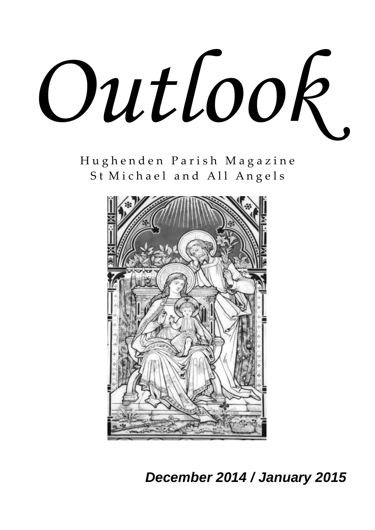

H u g h e n d e n P a r i s h M a g a z i n e St Michael and All Angels



 *December 2014 / January 2015*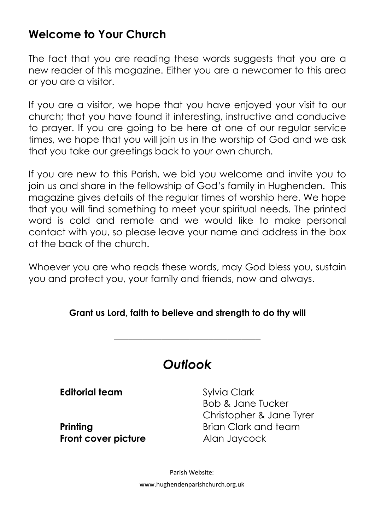### **Welcome to Your Church**

The fact that you are reading these words suggests that you are a new reader of this magazine. Either you are a newcomer to this area or you are a visitor.

If you are a visitor, we hope that you have enjoyed your visit to our church; that you have found it interesting, instructive and conducive to prayer. If you are going to be here at one of our regular service times, we hope that you will join us in the worship of God and we ask that you take our greetings back to your own church.

If you are new to this Parish, we bid you welcome and invite you to join us and share in the fellowship of God's family in Hughenden. This magazine gives details of the regular times of worship here. We hope that you will find something to meet your spiritual needs. The printed word is cold and remote and we would like to make personal contact with you, so please leave your name and address in the box at the back of the church.

Whoever you are who reads these words, may God bless you, sustain you and protect you, your family and friends, now and always.

#### **Grant us Lord, faith to believe and strength to do thy will**

\_\_\_\_\_\_\_\_\_\_\_\_\_\_\_\_\_\_\_\_\_\_\_\_\_\_\_\_\_\_\_

## *Outlook*

**Editorial team** Sylvia Clark

**Front cover picture** Alan Jaycock

Bob & Jane Tucker Christopher & Jane Tyrer **Printing Brian Clark and team** 

> Parish Website: www.hughendenparishchurch.org.uk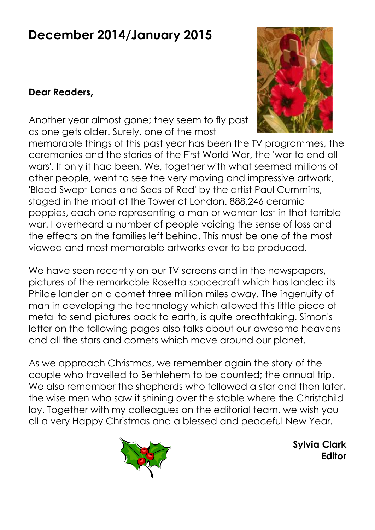# **December 2014/January 2015**

#### **Dear Readers,**

Another year almost gone; they seem to fly past as one gets older. Surely, one of the most



memorable things of this past year has been the TV programmes, the ceremonies and the stories of the First World War, the 'war to end all wars'. If only it had been. We, together with what seemed millions of other people, went to see the very moving and impressive artwork, 'Blood Swept Lands and Seas of Red' by the artist Paul Cummins, staged in the moat of the Tower of London. 888,246 ceramic poppies, each one representing a man or woman lost in that terrible war. I overheard a number of people voicing the sense of loss and the effects on the families left behind. This must be one of the most viewed and most memorable artworks ever to be produced.

We have seen recently on our TV screens and in the newspapers, pictures of the remarkable Rosetta spacecraft which has landed its Philae lander on a comet three million miles away. The ingenuity of man in developing the technology which allowed this little piece of metal to send pictures back to earth, is quite breathtaking. Simon's letter on the following pages also talks about our awesome heavens and all the stars and comets which move around our planet.

As we approach Christmas, we remember again the story of the couple who travelled to Bethlehem to be counted; the annual trip. We also remember the shepherds who followed a star and then later, the wise men who saw it shining over the stable where the Christchild lay. Together with my colleagues on the editorial team, we wish you all a very Happy Christmas and a blessed and peaceful New Year.



**Sylvia Clark Editor**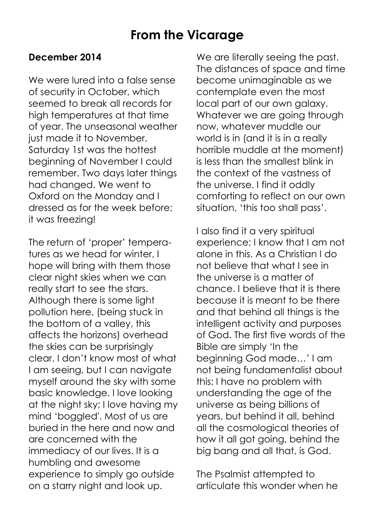### **From the Vicarage**

#### **December 2014**

We were lured into a false sense of security in October, which seemed to break all records for high temperatures at that time of year. The unseasonal weather just made it to November, Saturday 1st was the hottest beginning of November I could remember. Two days later things had changed. We went to Oxford on the Monday and I dressed as for the week before; it was freezing!

The return of 'proper' temperatures as we head for winter, I hope will bring with them those clear night skies when we can really start to see the stars. Although there is some light pollution here, (being stuck in the bottom of a valley, this affects the horizons) overhead the skies can be surprisingly clear. I don't know most of what I am seeing, but I can navigate myself around the sky with some basic knowledge. I love looking at the night sky; I love having my mind 'boggled'. Most of us are buried in the here and now and are concerned with the immediacy of our lives. It is a humbling and awesome experience to simply go outside on a starry night and look up.

We are literally seeing the past. The distances of space and time become unimaginable as we contemplate even the most local part of our own galaxy. Whatever we are going through now, whatever muddle our world is in (and it is in a really horrible muddle at the moment) is less than the smallest blink in the context of the vastness of the universe. I find it oddly comforting to reflect on our own situation, 'this too shall pass'.

I also find it a very spiritual experience; I know that I am not alone in this. As a Christian I do not believe that what I see in the universe is a matter of chance. I believe that it is there because it is meant to be there and that behind all things is the intelligent activity and purposes of God. The first five words of the Bible are simply 'In the beginning God made…' I am not being fundamentalist about this; I have no problem with understanding the age of the universe as being billions of years, but behind it all, behind all the cosmological theories of how it all got going, behind the big bang and all that, is God.

The Psalmist attempted to articulate this wonder when he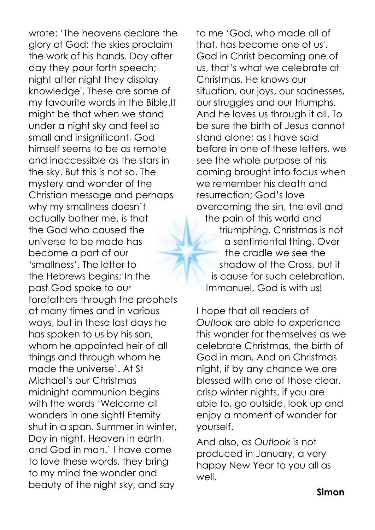wrote: 'The heavens declare the glory of God; the skies proclaim the work of his hands. Day after day they pour forth speech; night after night they display knowledge'. These are some of my favourite words in the Bible.It might be that when we stand under a night sky and feel so small and insignificant, God himself seems to be as remote and inaccessible as the stars in the sky. But this is not so. The mystery and wonder of the Christian message and perhaps why my smallness doesn't actually bother me, is that the God who caused the universe to be made has become a part of our 'smallness'. The letter to the Hebrews begins;'In the past God spoke to our forefathers through the prophets at many times and in various ways, but in these last days he has spoken to us by his son, whom he appointed heir of all things and through whom he made the universe'. At St Michael's our Christmas midnight communion begins with the words 'Welcome all wonders in one sight! Eternity shut in a span. Summer in winter, Day in night, Heaven in earth, and God in man.' I have come to love these words, they bring to my mind the wonder and beauty of the night sky, and say

to me 'God, who made all of that, has become one of us'. God in Christ becoming one of us, that's what we celebrate at Christmas. He knows our situation, our joys, our sadnesses, our struggles and our triumphs. And he loves us through it all. To be sure the birth of Jesus cannot stand alone; as I have said before in one of these letters, we see the whole purpose of his coming brought into focus when we remember his death and resurrection; God's love overcoming the sin, the evil and the pain of this world and triumphing. Christmas is not a sentimental thing. Over the cradle we see the shadow of the Cross, but it is cause for such celebration. Immanuel, God is with us!

I hope that all readers of *Outlook* are able to experience this wonder for themselves as we celebrate Christmas, the birth of God in man. And on Christmas night, if by any chance we are blessed with one of those clear, crisp winter nights, if you are able to, go outside, look up and enjoy a moment of wonder for yourself.

And also, as *Outlook* is not produced in January, a very happy New Year to you all as well.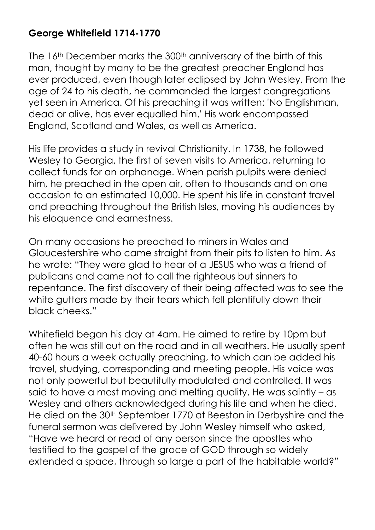#### **George Whitefield 1714-1770**

The 16<sup>th</sup> December marks the 300<sup>th</sup> anniversary of the birth of this man, thought by many to be the greatest preacher England has ever produced, even though later eclipsed by John Wesley. From the age of 24 to his death, he commanded the largest congregations yet seen in America. Of his preaching it was written: 'No Englishman, dead or alive, has ever equalled him.' His work encompassed England, Scotland and Wales, as well as America.

His life provides a study in revival Christianity. In 1738, he followed Wesley to Georgia, the first of seven visits to America, returning to collect funds for an orphanage. When parish pulpits were denied him, he preached in the open air, often to thousands and on one occasion to an estimated 10,000. He spent his life in constant travel and preaching throughout the British Isles, moving his audiences by his eloquence and earnestness.

On many occasions he preached to miners in Wales and Gloucestershire who came straight from their pits to listen to him. As he wrote: "They were glad to hear of a JESUS who was a friend of publicans and came not to call the righteous but sinners to repentance. The first discovery of their being affected was to see the white gutters made by their tears which fell plentifully down their black cheeks."

Whitefield began his day at 4am. He aimed to retire by 10pm but often he was still out on the road and in all weathers. He usually spent 40-60 hours a week actually preaching, to which can be added his travel, studying, corresponding and meeting people. His voice was not only powerful but beautifully modulated and controlled. It was said to have a most moving and melting quality. He was saintly – as Wesley and others acknowledged during his life and when he died. He died on the 30<sup>th</sup> September 1770 at Beeston in Derbyshire and the funeral sermon was delivered by John Wesley himself who asked, "Have we heard or read of any person since the apostles who testified to the gospel of the grace of GOD through so widely extended a space, through so large a part of the habitable world?"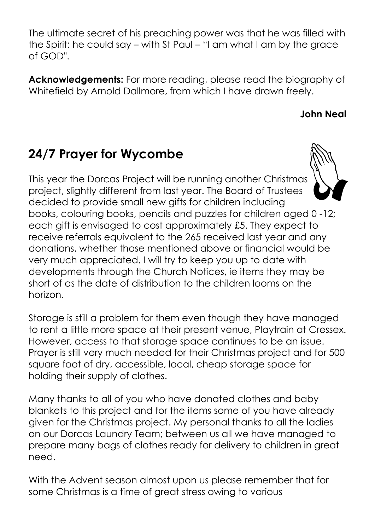The ultimate secret of his preaching power was that he was filled with the Spirit: he could say – with St Paul – "I am what I am by the grace of GOD".

**Acknowledgements:** For more reading, please read the biography of Whitefield by Arnold Dallmore, from which I have drawn freely.

#### **John Neal**

# **24/7 Prayer for Wycombe**

This year the Dorcas Project will be running another Christmas project, slightly different from last year. The Board of Trustees decided to provide small new gifts for children including books, colouring books, pencils and puzzles for children aged 0 -12; each gift is envisaged to cost approximately £5. They expect to receive referrals equivalent to the 265 received last year and any donations, whether those mentioned above or financial would be very much appreciated. I will try to keep you up to date with developments through the Church Notices, ie items they may be short of as the date of distribution to the children looms on the horizon.

Storage is still a problem for them even though they have managed to rent a little more space at their present venue, Playtrain at Cressex. However, access to that storage space continues to be an issue. Prayer is still very much needed for their Christmas project and for 500 square foot of dry, accessible, local, cheap storage space for holding their supply of clothes.

Many thanks to all of you who have donated clothes and baby blankets to this project and for the items some of you have already given for the Christmas project. My personal thanks to all the ladies on our Dorcas Laundry Team; between us all we have managed to prepare many bags of clothes ready for delivery to children in great need.

With the Advent season almost upon us please remember that for some Christmas is a time of great stress owing to various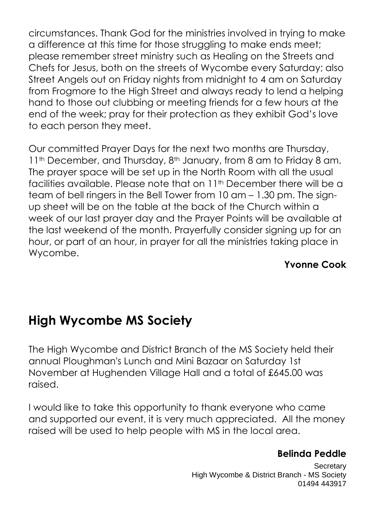circumstances. Thank God for the ministries involved in trying to make a difference at this time for those struggling to make ends meet; please remember street ministry such as Healing on the Streets and Chefs for Jesus, both on the streets of Wycombe every Saturday; also Street Angels out on Friday nights from midnight to 4 am on Saturday from Frogmore to the High Street and always ready to lend a helping hand to those out clubbing or meeting friends for a few hours at the end of the week; pray for their protection as they exhibit God's love to each person they meet.

Our committed Prayer Days for the next two months are Thursday, 11<sup>th</sup> December, and Thursday, 8<sup>th</sup> January, from 8 am to Friday 8 am. The prayer space will be set up in the North Room with all the usual facilities available. Please note that on 11th December there will be a team of bell ringers in the Bell Tower from 10 am – 1.30 pm. The signup sheet will be on the table at the back of the Church within a week of our last prayer day and the Prayer Points will be available at the last weekend of the month. Prayerfully consider signing up for an hour, or part of an hour, in prayer for all the ministries taking place in Wycombe.

#### **Yvonne Cook**

## **High Wycombe MS Society**

The High Wycombe and District Branch of the MS Society held their annual Ploughman's Lunch and Mini Bazaar on Saturday 1st November at Hughenden Village Hall and a total of £645.00 was raised.

I would like to take this opportunity to thank everyone who came and supported our event, it is very much appreciated. All the money raised will be used to help people with MS in the local area.

#### **Belinda Peddle**

**Secretary** High Wycombe & District Branch - MS Society 01494 443917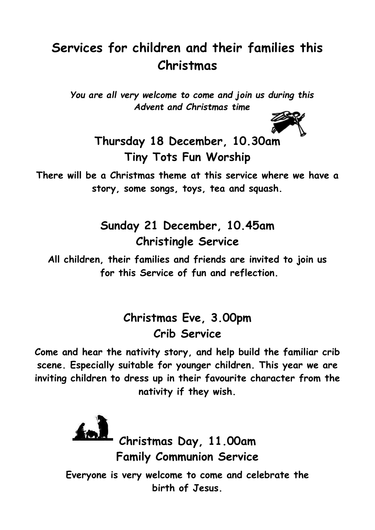# **Services for children and their families this Christmas**

*You are all very welcome to come and join us during this Advent and Christmas time*



**Thursday 18 December, 10.30am Tiny Tots Fun Worship**

**There will be a Christmas theme at this service where we have a story, some songs, toys, tea and squash.**

> **Sunday 21 December, 10.45am Christingle Service**

**All children, their families and friends are invited to join us for this Service of fun and reflection.**

### **Christmas Eve, 3.00pm Crib Service**

**Come and hear the nativity story, and help build the familiar crib scene. Especially suitable for younger children. This year we are inviting children to dress up in their favourite character from the nativity if they wish.** 

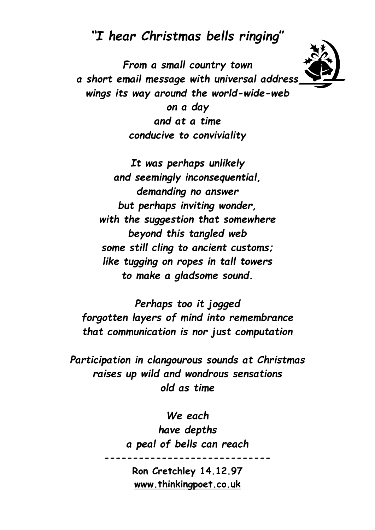### *"I hear Christmas bells ringing***"**

*From a small country town a short email message with universal address wings its way around the world-wide-web on a day and at a time conducive to conviviality*

*It was perhaps unlikely and seemingly inconsequential, demanding no answer but perhaps inviting wonder, with the suggestion that somewhere beyond this tangled web some still cling to ancient customs; like tugging on ropes in tall towers to make a gladsome sound.*

*Perhaps too it jogged forgotten layers of mind into remembrance that communication is nor just computation*

*Participation in clangourous sounds at Christmas raises up wild and wondrous sensations old as time*

> *We each have depths a peal of bells can reach*

> > **Ron Cretchley 14.12.97 [www.thinkingpoet.co.uk](http://www.thinkingpoet.co.uk/)**

**-----------------------------**

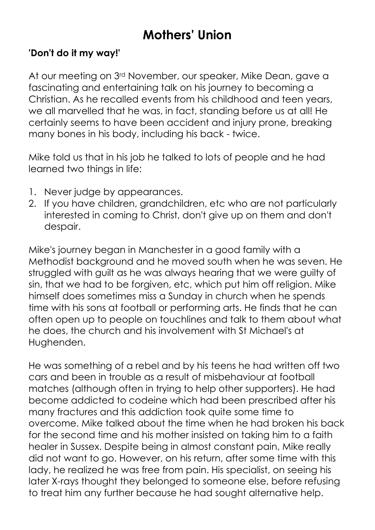# **Mothers' Union**

#### **'Don't do it my way!'**

At our meeting on 3<sup>rd</sup> November, our speaker, Mike Dean, gave a fascinating and entertaining talk on his journey to becoming a Christian. As he recalled events from his childhood and teen years, we all marvelled that he was, in fact, standing before us at all! He certainly seems to have been accident and injury prone, breaking many bones in his body, including his back - twice.

Mike told us that in his job he talked to lots of people and he had learned two things in life:

- 1. Never judge by appearances.
- 2. If you have children, grandchildren, etc who are not particularly interested in coming to Christ, don't give up on them and don't despair.

Mike's journey began in Manchester in a good family with a Methodist background and he moved south when he was seven. He struggled with quilt as he was always hearing that we were quilty of sin, that we had to be forgiven, etc, which put him off religion. Mike himself does sometimes miss a Sunday in church when he spends time with his sons at football or performing arts. He finds that he can often open up to people on touchlines and talk to them about what he does, the church and his involvement with St Michael's at Hughenden.

He was something of a rebel and by his teens he had written off two cars and been in trouble as a result of misbehaviour at football matches (although often in trying to help other supporters). He had become addicted to codeine which had been prescribed after his many fractures and this addiction took quite some time to overcome. Mike talked about the time when he had broken his back for the second time and his mother insisted on taking him to a faith healer in Sussex. Despite being in almost constant pain, Mike really did not want to go. However, on his return, after some time with this lady, he realized he was free from pain. His specialist, on seeing his later X-rays thought they belonged to someone else, before refusing to treat him any further because he had sought alternative help.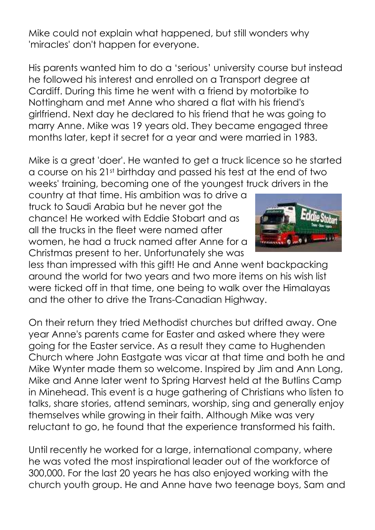Mike could not explain what happened, but still wonders why 'miracles' don't happen for everyone.

His parents wanted him to do a 'serious' university course but instead he followed his interest and enrolled on a Transport degree at Cardiff. During this time he went with a friend by motorbike to Nottingham and met Anne who shared a flat with his friend's girlfriend. Next day he declared to his friend that he was going to marry Anne. Mike was 19 years old. They became engaged three months later, kept it secret for a year and were married in 1983.

Mike is a great 'doer'. He wanted to get a truck licence so he started a course on his 21st birthday and passed his test at the end of two weeks' training, becoming one of the youngest truck drivers in the

country at that time. His ambition was to drive a truck to Saudi Arabia but he never got the chance! He worked with Eddie Stobart and as all the trucks in the fleet were named after women, he had a truck named after Anne for a Christmas present to her. Unfortunately she was



less than impressed with this gift! He and Anne went backpacking around the world for two years and two more items on his wish list were ticked off in that time, one being to walk over the Himalayas and the other to drive the Trans-Canadian Highway.

On their return they tried Methodist churches but drifted away. One year Anne's parents came for Easter and asked where they were going for the Easter service. As a result they came to Hughenden Church where John Eastgate was vicar at that time and both he and Mike Wynter made them so welcome. Inspired by Jim and Ann Long, Mike and Anne later went to Spring Harvest held at the Butlins Camp in Minehead. This event is a huge gathering of Christians who listen to talks, share stories, attend seminars, worship, sing and generally enjoy themselves while growing in their faith. Although Mike was very reluctant to go, he found that the experience transformed his faith.

Until recently he worked for a large, international company, where he was voted the most inspirational leader out of the workforce of 300,000. For the last 20 years he has also enjoyed working with the church youth group. He and Anne have two teenage boys, Sam and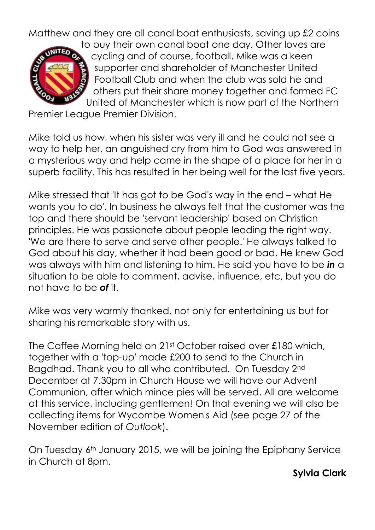Matthew and they are all canal boat enthusiasts, saving up £2 coins



to buy their own canal boat one day. Other loves are cycling and of course, football. Mike was a keen supporter and shareholder of Manchester United Football Club and when the club was sold he and others put their share money together and formed FC United of Manchester which is now part of the Northern

Premier League Premier Division.

Mike told us how, when his sister was very ill and he could not see a way to help her, an anguished cry from him to God was answered in a mysterious way and help came in the shape of a place for her in a superb facility. This has resulted in her being well for the last five years.

Mike stressed that 'It has got to be God's way in the end – what He wants you to do'. In business he always felt that the customer was the top and there should be 'servant leadership' based on Christian principles. He was passionate about people leading the right way. 'We are there to serve and serve other people.' He always talked to God about his day, whether it had been good or bad. He knew God was always with him and listening to him. He said you have to be *in* a situation to be able to comment, advise, influence, etc, but you do not have to be *of* it.

Mike was very warmly thanked, not only for entertaining us but for sharing his remarkable story with us.

The Coffee Morning held on 21st October raised over £180 which, together with a 'top-up' made £200 to send to the Church in Bagdhad. Thank you to all who contributed. On Tuesday 2nd December at 7.30pm in Church House we will have our Advent Communion, after which mince pies will be served. All are welcome at this service, including gentlemen! On that evening we will also be collecting items for Wycombe Women's Aid (see page 27 of the November edition of *Outlook*).

On Tuesday 6th January 2015, we will be joining the Epiphany Service in Church at 8pm.

**Sylvia Clark**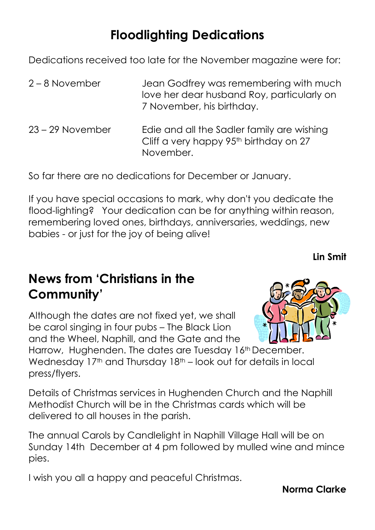# **Floodlighting Dedications**

Dedications received too late for the November magazine were for:

- 2 8 November Jean Godfrey was remembering with much love her dear husband Roy, particularly on 7 November, his birthday.
- 23 29 November Edie and all the Sadler family are wishing Cliff a very happy 95<sup>th</sup> birthday on 27 November.

So far there are no dedications for December or January.

If you have special occasions to mark, why don't you dedicate the flood-lighting? Your dedication can be for anything within reason, remembering loved ones, birthdays, anniversaries, weddings, new babies - or just for the joy of being alive!

**Lin Smit**

# **News from 'Christians in the Community'**

Although the dates are not fixed yet, we shall be carol singing in four pubs – The Black Lion and the Wheel, Naphill, and the Gate and the



Harrow, Hughenden. The dates are Tuesday 16<sup>th</sup> December. Wednesday 17<sup>th</sup> and Thursday 18<sup>th</sup> – look out for details in local press/flyers.

Details of Christmas services in Hughenden Church and the Naphill Methodist Church will be in the Christmas cards which will be delivered to all houses in the parish.

The annual Carols by Candlelight in Naphill Village Hall will be on Sunday 14th December at 4 pm followed by mulled wine and mince pies.

I wish you all a happy and peaceful Christmas.

**Norma Clarke**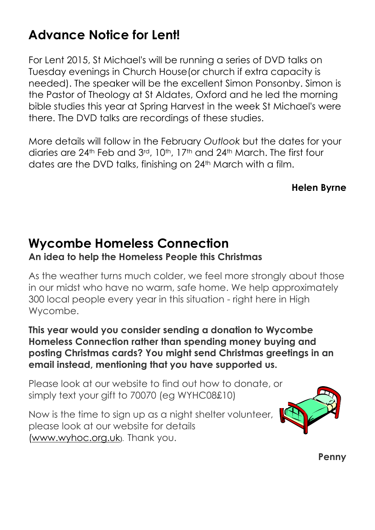# **Advance Notice for Lent!**

For Lent 2015, St Michael's will be running a series of DVD talks on Tuesday evenings in Church House(or church if extra capacity is needed). The speaker will be the excellent Simon Ponsonby. Simon is the Pastor of Theology at St Aldates, Oxford and he led the morning bible studies this year at Spring Harvest in the week St Michael's were there. The DVD talks are recordings of these studies.

More details will follow in the February *Outlook* but the dates for your diaries are 24th Feb and 3rd, 10th, 17th and 24th March. The first four dates are the DVD talks, finishing on 24<sup>th</sup> March with a film.

**Helen Byrne**

# **Wycombe Homeless Connection**

#### **An idea to help the Homeless People this Christmas**

As the weather turns much colder, we feel more strongly about those in our midst who have no warm, safe home. We help approximately 300 local people every year in this situation - right here in High Wycombe.

**This year would you consider sending a donation to Wycombe Homeless Connection rather than spending money buying and posting Christmas cards? You might send Christmas greetings in an email instead, mentioning that you have supported us.**

Please look at our website to find out how to donate, or simply text your gift to 70070 (eg WYHC08£10)

Now is the time to sign up as a night shelter volunteer, please look at our website for details [\(www.wyhoc.org.uk](http://www.wyhoc.org.uk/)). Thank you.



**Penny**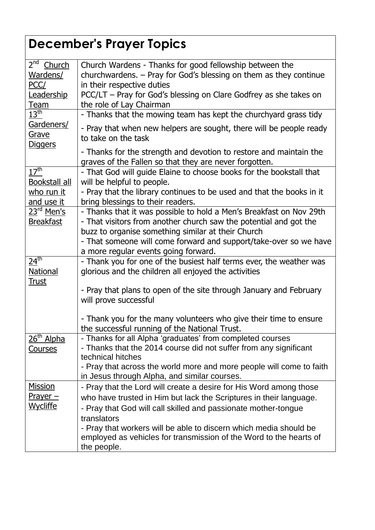# **December's Prayer Topics**

| 2 <sup>nd</sup><br>Church<br>Wardens/<br>PCC/<br>Leadership<br><u>Team</u> | Church Wardens - Thanks for good fellowship between the<br>churchwardens. - Pray for God's blessing on them as they continue<br>in their respective duties<br>PCC/LT – Pray for God's blessing on Clare Godfrey as she takes on<br>the role of Lay Chairman                                                                                                                         |
|----------------------------------------------------------------------------|-------------------------------------------------------------------------------------------------------------------------------------------------------------------------------------------------------------------------------------------------------------------------------------------------------------------------------------------------------------------------------------|
| $13^{\sf th}$                                                              | - Thanks that the mowing team has kept the churchyard grass tidy                                                                                                                                                                                                                                                                                                                    |
| Gardeners/<br><u>Grave</u><br><u>Diggers</u>                               | - Pray that when new helpers are sought, there will be people ready<br>to take on the task<br>- Thanks for the strength and devotion to restore and maintain the<br>graves of the Fallen so that they are never forgotten.                                                                                                                                                          |
| 17 <sup>th</sup><br>Bookstall all<br><u>who run it</u><br>and use it       | - That God will guide Elaine to choose books for the bookstall that<br>will be helpful to people.<br>- Pray that the library continues to be used and that the books in it<br>bring blessings to their readers.                                                                                                                                                                     |
| 23 <sup>rd</sup> Men's<br><b>Breakfast</b>                                 | - Thanks that it was possible to hold a Men's Breakfast on Nov 29th<br>- That visitors from another church saw the potential and got the<br>buzz to organise something similar at their Church<br>- That someone will come forward and support/take-over so we have<br>a more regular events going forward.                                                                         |
| $\overline{24}^{\text{th}}$<br><b>National</b><br><u>Trust</u>             | - Thank you for one of the busiest half terms ever, the weather was<br>glorious and the children all enjoyed the activities<br>- Pray that plans to open of the site through January and February<br>will prove successful                                                                                                                                                          |
|                                                                            | - Thank you for the many volunteers who give their time to ensure<br>the successful running of the National Trust.                                                                                                                                                                                                                                                                  |
| $26th$ Alpha<br><u>Courses</u>                                             | Thanks for all Alpha 'graduates' from completed courses<br>- Thanks that the 2014 course did not suffer from any significant<br>technical hitches<br>- Pray that across the world more and more people will come to faith<br>in Jesus through Alpha, and similar courses.                                                                                                           |
| <u>Mission</u><br><u> Prayer —</u><br>Wycliffe                             | - Pray that the Lord will create a desire for His Word among those<br>who have trusted in Him but lack the Scriptures in their language.<br>- Pray that God will call skilled and passionate mother-tongue<br>translators<br>- Pray that workers will be able to discern which media should be<br>employed as vehicles for transmission of the Word to the hearts of<br>the people. |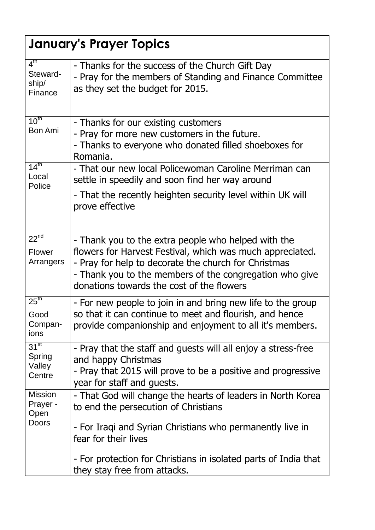|                                                 | <b>January's Prayer Topics</b>                                                                                                                                                                                                                                                   |
|-------------------------------------------------|----------------------------------------------------------------------------------------------------------------------------------------------------------------------------------------------------------------------------------------------------------------------------------|
| 4 <sup>th</sup><br>Steward-<br>ship/<br>Finance | - Thanks for the success of the Church Gift Day<br>- Pray for the members of Standing and Finance Committee<br>as they set the budget for 2015.                                                                                                                                  |
| $10^{\text{th}}$<br><b>Bon Ami</b>              | - Thanks for our existing customers<br>- Pray for more new customers in the future.<br>- Thanks to everyone who donated filled shoeboxes for<br>Romania.                                                                                                                         |
| 14 <sup>th</sup><br>Local<br>Police             | - That our new local Policewoman Caroline Merriman can<br>settle in speedily and soon find her way around                                                                                                                                                                        |
|                                                 | - That the recently heighten security level within UK will<br>prove effective                                                                                                                                                                                                    |
| $22^{nd}$<br>Flower<br>Arrangers                | - Thank you to the extra people who helped with the<br>flowers for Harvest Festival, which was much appreciated.<br>- Pray for help to decorate the church for Christmas<br>- Thank you to the members of the congregation who give<br>donations towards the cost of the flowers |
| 25 <sup>th</sup><br>Good<br>Compan-<br>ions     | - For new people to join in and bring new life to the group<br>so that it can continue to meet and flourish, and hence<br>provide companionship and enjoyment to all it's members.                                                                                               |
| $31^{st}$<br>Spring<br>Valley<br>Centre         | - Pray that the staff and guests will all enjoy a stress-free<br>and happy Christmas<br>- Pray that 2015 will prove to be a positive and progressive<br>year for staff and quests.                                                                                               |
| <b>Mission</b><br>Prayer -<br>Open              | - That God will change the hearts of leaders in North Korea<br>to end the persecution of Christians                                                                                                                                                                              |
| Doors                                           | - For Iraqi and Syrian Christians who permanently live in<br>fear for their lives                                                                                                                                                                                                |
|                                                 | - For protection for Christians in isolated parts of India that<br>they stay free from attacks.                                                                                                                                                                                  |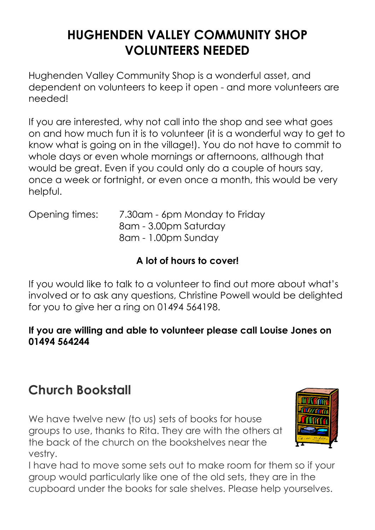# **HUGHENDEN VALLEY COMMUNITY SHOP VOLUNTEERS NEEDED**

Hughenden Valley Community Shop is a wonderful asset, and dependent on volunteers to keep it open - and more volunteers are needed!

If you are interested, why not call into the shop and see what goes on and how much fun it is to volunteer (it is a wonderful way to get to know what is going on in the village!). You do not have to commit to whole days or even whole mornings or afternoons, although that would be great. Even if you could only do a couple of hours say, once a week or fortnight, or even once a month, this would be very helpful.

Opening times: 7.30am - 6pm Monday to Friday 8am - 3.00pm Saturday 8am - 1.00pm Sunday

### **A lot of hours to cover!**

If you would like to talk to a volunteer to find out more about what's involved or to ask any questions, Christine Powell would be delighted for you to give her a ring on 01494 564198.

#### **If you are willing and able to volunteer please call Louise Jones on 01494 564244**

# **Church Bookstall**

We have twelve new (to us) sets of books for house groups to use, thanks to Rita. They are with the others at the back of the church on the bookshelves near the vestry.



I have had to move some sets out to make room for them so if your group would particularly like one of the old sets, they are in the cupboard under the books for sale shelves. Please help yourselves.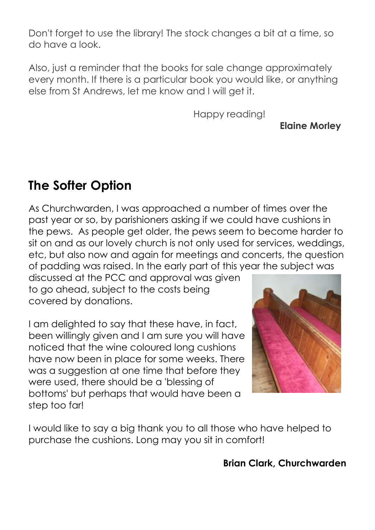Don't forget to use the library! The stock changes a bit at a time, so do have a look.

Also, just a reminder that the books for sale change approximately every month. If there is a particular book you would like, or anything else from St Andrews, let me know and I will get it.

Happy reading!

**Elaine Morley**

# **The Softer Option**

As Churchwarden, I was approached a number of times over the past year or so, by parishioners asking if we could have cushions in the pews. As people get older, the pews seem to become harder to sit on and as our lovely church is not only used for services, weddings, etc, but also now and again for meetings and concerts, the question of padding was raised. In the early part of this year the subject was

discussed at the PCC and approval was given to go ahead, subject to the costs being covered by donations.

I am delighted to say that these have, in fact, been willingly given and I am sure you will have noticed that the wine coloured long cushions have now been in place for some weeks. There was a suggestion at one time that before they were used, there should be a 'blessing of bottoms' but perhaps that would have been a step too far!



I would like to say a big thank you to all those who have helped to purchase the cushions. Long may you sit in comfort!

**Brian Clark, Churchwarden**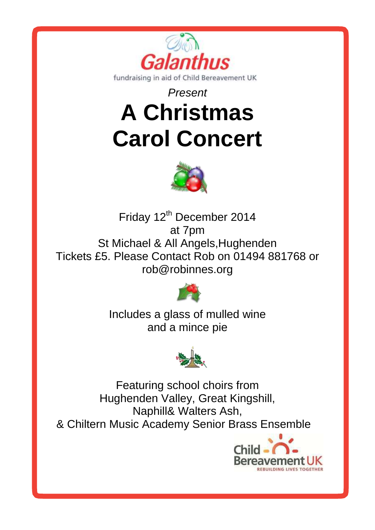

# *Present* **A Christmas Carol Concert**



Friday 12<sup>th</sup> December 2014 at 7pm St Michael & All Angels,Hughenden Tickets £5. Please Contact Rob on 01494 881768 or rob@robinnes.org



Includes a glass of mulled wine and a mince pie



Featuring school choirs from Hughenden Valley, Great Kingshill, Naphill& Walters Ash, & Chiltern Music Academy Senior Brass Ensemble

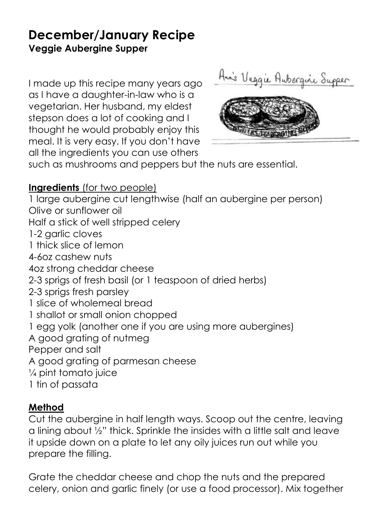### **December/January Recipe Veggie Aubergine Supper**

I made up this recipe many years ago as I have a daughter-in-law who is a vegetarian. Her husband, my eldest stepson does a lot of cooking and I thought he would probably enjoy this meal. It is very easy. If you don't have all the ingredients you can use others

Anis Veggie Aubergine Supper



such as mushrooms and peppers but the nuts are essential.

#### **Ingredients** (for two people)

1 large aubergine cut lengthwise (half an aubergine per person) Olive or sunflower oil Half a stick of well stripped celery 1-2 garlic cloves 1 thick slice of lemon 4-6oz cashew nuts 4oz strong cheddar cheese 2-3 sprigs of fresh basil (or 1 teaspoon of dried herbs) 2-3 sprigs fresh parsley 1 slice of wholemeal bread 1 shallot or small onion chopped 1 egg yolk (another one if you are using more aubergines) A good grating of nutmeg Pepper and salt A good grating of parmesan cheese ¼ pint tomato juice 1 tin of passata

#### **Method**

Cut the aubergine in half length ways. Scoop out the centre, leaving a lining about ½" thick. Sprinkle the insides with a little salt and leave it upside down on a plate to let any oily juices run out while you prepare the filling.

Grate the cheddar cheese and chop the nuts and the prepared celery, onion and garlic finely (or use a food processor). Mix together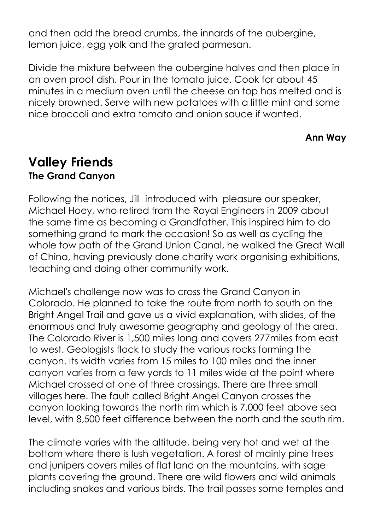and then add the bread crumbs, the innards of the aubergine, lemon juice, egg yolk and the grated parmesan.

Divide the mixture between the aubergine halves and then place in an oven proof dish. Pour in the tomato juice. Cook for about 45 minutes in a medium oven until the cheese on top has melted and is nicely browned. Serve with new potatoes with a little mint and some nice broccoli and extra tomato and onion sauce if wanted.

#### **Ann Way**

### **Valley Friends The Grand Canyon**

Following the notices, Jill introduced with pleasure our speaker, Michael Hoey, who retired from the Royal Engineers in 2009 about the same time as becoming a Grandfather. This inspired him to do something grand to mark the occasion! So as well as cycling the whole tow path of the Grand Union Canal, he walked the Great Wall of China, having previously done charity work organising exhibitions, teaching and doing other community work.

Michael's challenge now was to cross the Grand Canyon in Colorado. He planned to take the route from north to south on the Bright Angel Trail and gave us a vivid explanation, with slides, of the enormous and truly awesome geography and geology of the area. The Colorado River is 1,500 miles long and covers 277miles from east to west. Geologists flock to study the various rocks forming the canyon. Its width varies from 15 miles to 100 miles and the inner canyon varies from a few yards to 11 miles wide at the point where Michael crossed at one of three crossings. There are three small villages here. The fault called Bright Angel Canyon crosses the canyon looking towards the north rim which is 7,000 feet above sea level, with 8,500 feet difference between the north and the south rim.

The climate varies with the altitude, being very hot and wet at the bottom where there is lush vegetation. A forest of mainly pine trees and junipers covers miles of flat land on the mountains, with sage plants covering the ground. There are wild flowers and wild animals including snakes and various birds. The trail passes some temples and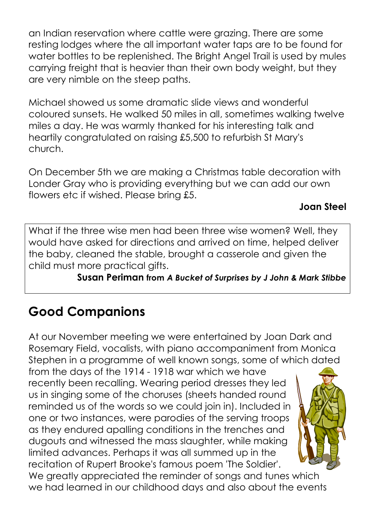an Indian reservation where cattle were grazing. There are some resting lodges where the all important water taps are to be found for water bottles to be replenished. The Bright Angel Trail is used by mules carrying freight that is heavier than their own body weight, but they are very nimble on the steep paths.

Michael showed us some dramatic slide views and wonderful coloured sunsets. He walked 50 miles in all, sometimes walking twelve miles a day. He was warmly thanked for his interesting talk and heartily congratulated on raising £5,500 to refurbish St Mary's church.

On December 5th we are making a Christmas table decoration with Londer Gray who is providing everything but we can add our own flowers etc if wished. Please bring £5.

#### **Joan Steel**

What if the three wise men had been three wise women? Well, they would have asked for directions and arrived on time, helped deliver the baby, cleaned the stable, brought a casserole and given the child must more practical gifts.

**Susan Periman from** *A Bucket of Surprises by J John & Mark Stibbe*

# **Good Companions**

At our November meeting we were entertained by Joan Dark and Rosemary Field, vocalists, with piano accompaniment from Monica Stephen in a programme of well known songs, some of which dated

from the days of the 1914 - 1918 war which we have recently been recalling. Wearing period dresses they led us in singing some of the choruses (sheets handed round reminded us of the words so we could join in). Included in one or two instances, were parodies of the serving troops as they endured apalling conditions in the trenches and dugouts and witnessed the mass slaughter, while making limited advances. Perhaps it was all summed up in the recitation of Rupert Brooke's famous poem 'The Soldier'.



We greatly appreciated the reminder of songs and tunes which we had learned in our childhood days and also about the events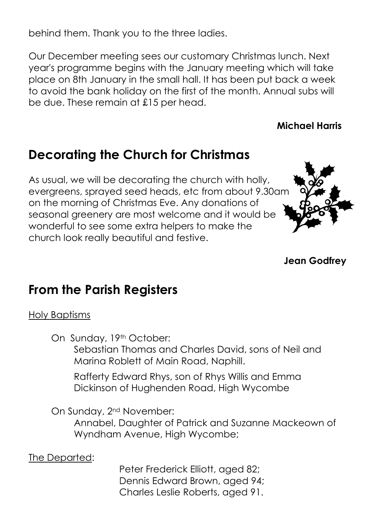behind them. Thank you to the three ladies.

Our December meeting sees our customary Christmas lunch. Next year's programme begins with the January meeting which will take place on 8th January in the small hall. It has been put back a week to avoid the bank holiday on the first of the month. Annual subs will be due. These remain at £15 per head.

#### **Michael Harris**

### **Decorating the Church for Christmas**

As usual, we will be decorating the church with holly, evergreens, sprayed seed heads, etc from about 9.30am on the morning of Christmas Eve. Any donations of seasonal greenery are most welcome and it would be wonderful to see some extra helpers to make the church look really beautiful and festive.



**Jean Godfrey**

### **From the Parish Registers**

#### Holy Baptisms

On Sunday, 19th October:

Sebastian Thomas and Charles David, sons of Neil and Marina Roblett of Main Road, Naphill.

Rafferty Edward Rhys, son of Rhys Willis and Emma Dickinson of Hughenden Road, High Wycombe

On Sunday, 2nd November:

Annabel, Daughter of Patrick and Suzanne Mackeown of Wyndham Avenue, High Wycombe;

The Departed:

Peter Frederick Elliott, aged 82; Dennis Edward Brown, aged 94; Charles Leslie Roberts, aged 91.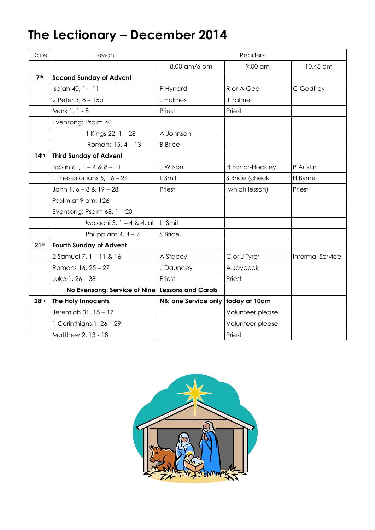# **The Lectionary – December 2014**

| Date             | Lesson                                            | Readers              |                  |                  |
|------------------|---------------------------------------------------|----------------------|------------------|------------------|
|                  |                                                   | 8.00 am/6 pm         | 9.00 am          | 10.45 am         |
| 7 <sup>th</sup>  | <b>Second Sunday of Advent</b>                    |                      |                  |                  |
|                  | Isaiah 40, $1 - 11$                               | P Hynard             | R or A Gee       | C Godfrey        |
|                  | 2 Peter 3, 8 - 15a                                | J Holmes             | J Palmer         |                  |
|                  | Mark 1, 1 - 8                                     | Priest               | Priest           |                  |
|                  | Evensong: Psalm 40                                |                      |                  |                  |
|                  | 1 Kings 22, 1 - 28                                | A Johnson            |                  |                  |
|                  | Romans $15, 4 - 13$                               | <b>B</b> Brice       |                  |                  |
| 14 <sup>th</sup> | <b>Third Sunday of Advent</b>                     |                      |                  |                  |
|                  | Isaiah 61, $1 - 4 & 8 - 11$                       | J Wilson             | H Farrar-Hockley | P Austin         |
|                  | 1 Thessalonians 5, $16 - 24$                      | L Smit               | S Brice (check   | H Byrne          |
|                  | John 1, 6 - 8 & 19 - 28                           | Priest               | which lesson)    | Priest           |
|                  | Psalm at 9 am: 126                                |                      |                  |                  |
|                  | Evensong: Psalm $68$ , $1 - 20$                   |                      |                  |                  |
|                  | Malachi 3, 1 - 4 & 4. all                         | L Smit               |                  |                  |
|                  | Philippians $4, 4 - 7$                            | S Brice              |                  |                  |
| 21 <sup>st</sup> | <b>Fourth Sunday of Advent</b>                    |                      |                  |                  |
|                  | 2 Samuel 7, 1 - 11 & 16                           | A Stacey             | C or J Tyrer     | Informal Service |
|                  | Romans 16, 25 - 27                                | J Dauncey            | A Jaycock        |                  |
|                  | Luke $1, 26 - 38$                                 | Priest               | Priest           |                  |
|                  | No Evensong: Service of Nine   Lessons and Carols |                      |                  |                  |
| 28th             | The Holy Innocents                                | NB: one Service only | today at 10am    |                  |
|                  | Jeremiah 31, 15 - 17                              |                      | Volunteer please |                  |
|                  | 1 Corinthians $1, 26 - 29$                        |                      | Volunteer please |                  |
|                  | Matthew 2, 13 - 18                                |                      | Priest           |                  |

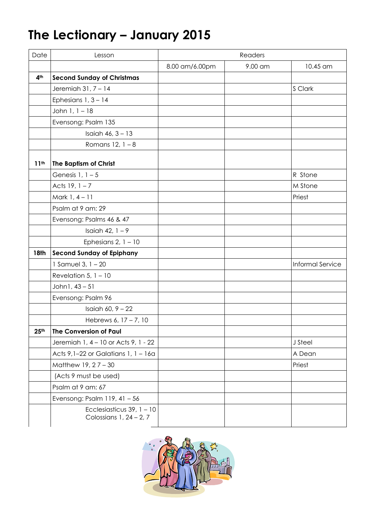# **The Lectionary – January 2015**

| Date             | Lesson                                                   | Readers        |         |                         |
|------------------|----------------------------------------------------------|----------------|---------|-------------------------|
|                  |                                                          | 8.00 am/6.00pm | 9.00 am | 10.45 am                |
| 4 <sup>th</sup>  | <b>Second Sunday of Christmas</b>                        |                |         |                         |
|                  | Jeremiah $31, 7 - 14$                                    |                |         | S Clark                 |
|                  | Ephesians $1, 3 - 14$                                    |                |         |                         |
|                  | John 1, 1 - 18                                           |                |         |                         |
|                  | Evensong: Psalm 135                                      |                |         |                         |
|                  | Isaiah $46, 3 - 13$                                      |                |         |                         |
|                  | Romans $12, 1 - 8$                                       |                |         |                         |
| 11 <sup>th</sup> | The Baptism of Christ                                    |                |         |                         |
|                  | Genesis $1, 1-5$                                         |                |         | R Stone                 |
|                  | Acts $19, 1 - 7$                                         |                |         | M Stone                 |
|                  | Mark $1, 4 - 11$                                         |                |         | Priest                  |
|                  | Psalm at 9 am: 29                                        |                |         |                         |
|                  | Evensong: Psalms 46 & 47                                 |                |         |                         |
|                  | Isaiah 42, $1 - 9$                                       |                |         |                         |
|                  | Ephesians 2, $1 - 10$                                    |                |         |                         |
| 18th             | <b>Second Sunday of Epiphany</b>                         |                |         |                         |
|                  | 1 Samuel 3, $1 - 20$                                     |                |         | <b>Informal Service</b> |
|                  | Revelation 5, $1 - 10$                                   |                |         |                         |
|                  | John1, 43 - 51                                           |                |         |                         |
|                  | Evensong: Psalm 96                                       |                |         |                         |
|                  | Isaiah 60, $9 - 22$                                      |                |         |                         |
|                  | Hebrews 6, 17 - 7, 10                                    |                |         |                         |
| 25 <sup>th</sup> | The Conversion of Paul                                   |                |         |                         |
|                  | Jeremiah 1, 4 - 10 or Acts 9, 1 - 22                     |                |         | J Steel                 |
|                  | Acts $9,1-22$ or Galatians 1, $1-16a$                    |                |         | A Dean                  |
|                  | Matthew $19, 27 - 30$                                    |                |         | Priest                  |
|                  | (Acts 9 must be used)                                    |                |         |                         |
|                  | Psalm at 9 am: 67                                        |                |         |                         |
|                  | Evensong: Psalm $119, 41 - 56$                           |                |         |                         |
|                  | Ecclesiasticus 39, $1 - 10$<br>Colossians $1, 24 - 2, 7$ |                |         |                         |

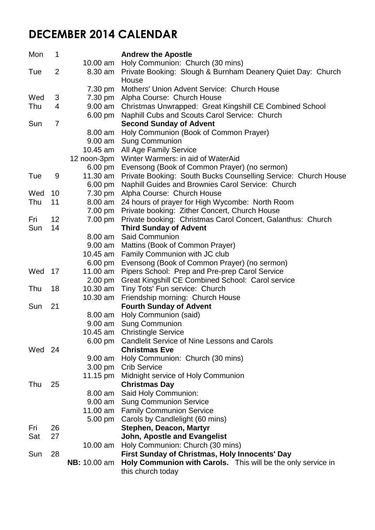### **DECEMBER 2014 CALENDAR**

| Mon | 1              |                     | <b>Andrew the Apostle</b>                                            |  |
|-----|----------------|---------------------|----------------------------------------------------------------------|--|
|     |                | $10.00$ am          | Holy Communion: Church (30 mins)                                     |  |
| Tue | $\overline{2}$ | 8.30 am             | Private Booking: Slough & Burnham Deanery Quiet Day: Church<br>House |  |
|     |                | 7.30 pm             | Mothers' Union Advent Service: Church House                          |  |
| Wed | 3              | 7.30 pm             | Alpha Course: Church House                                           |  |
| Thu | 4              | 9.00 am             | Christmas Unwrapped: Great Kingshill CE Combined School              |  |
|     |                | $6.00 \text{ pm}$   | Naphill Cubs and Scouts Carol Service: Church                        |  |
| Sun | $\overline{7}$ |                     | <b>Second Sunday of Advent</b>                                       |  |
|     |                | 8.00 am             | Holy Communion (Book of Common Prayer)                               |  |
|     |                | 9.00 am             | <b>Sung Communion</b>                                                |  |
|     |                | 10.45 am            | All Age Family Service                                               |  |
|     |                | 12 noon-3pm         | Winter Warmers: in aid of WaterAid                                   |  |
|     |                | $6.00 \text{ pm}$   | Evensong (Book of Common Prayer) (no sermon)                         |  |
| Tue | 9              | 11.30 am            | Private Booking: South Bucks Counselling Service: Church House       |  |
|     |                | 6.00 pm             | Naphill Guides and Brownies Carol Service: Church                    |  |
| Wed | 10             | 7.30 pm             | Alpha Course: Church House                                           |  |
| Thu | 11             | 8.00 am             | 24 hours of prayer for High Wycombe: North Room                      |  |
|     |                | 7.00 pm             | Private booking: Zither Concert, Church House                        |  |
| Fri | 12             | 7.00 pm             | Private booking: Christmas Carol Concert, Galanthus: Church          |  |
| Sun | 14             |                     | <b>Third Sunday of Advent</b>                                        |  |
|     |                | 8.00 am             | <b>Said Communion</b>                                                |  |
|     |                | 9.00 am             | Mattins (Book of Common Prayer)                                      |  |
|     |                | 10.45 am            | Family Communion with JC club                                        |  |
|     |                | 6.00 pm             | Evensong (Book of Common Prayer) (no sermon)                         |  |
| Wed | 17             | 11.00 am            | Pipers School: Prep and Pre-prep Carol Service                       |  |
|     |                | $2.00 \text{ pm}$   | Great Kingshill CE Combined School: Carol service                    |  |
| Thu | 18             | 10.30 am            | Tiny Tots' Fun service: Church                                       |  |
|     |                | 10.30 am            | Friendship morning: Church House                                     |  |
| Sun | 21             |                     | <b>Fourth Sunday of Advent</b>                                       |  |
|     |                | 8.00 am             | Holy Communion (said)                                                |  |
|     |                | $9.00$ am           | <b>Sung Communion</b>                                                |  |
|     |                |                     | 10.45 am Christingle Service                                         |  |
|     |                | $6.00 \text{ pm}$   | <b>Candlelit Service of Nine Lessons and Carols</b>                  |  |
| Wed | -24            |                     | <b>Christmas Eve</b>                                                 |  |
|     |                | 9.00 am             | Holy Communion: Church (30 mins)                                     |  |
|     |                | $3.00 \text{ pm}$   | <b>Crib Service</b>                                                  |  |
| Thu | 25             | 11.15 $pm$          | Midnight service of Holy Communion                                   |  |
|     |                | 8.00 am             | <b>Christmas Day</b>                                                 |  |
|     |                | 9.00 am             | Said Holy Communion:<br><b>Sung Communion Service</b>                |  |
|     |                | 11.00 am            | <b>Family Communion Service</b>                                      |  |
|     |                | $5.00 \text{ pm}$   | Carols by Candlelight (60 mins)                                      |  |
| Fri | 26             |                     | <b>Stephen, Deacon, Martyr</b>                                       |  |
| Sat | 27             |                     | <b>John, Apostle and Evangelist</b>                                  |  |
|     |                | $10.00$ am          | Holy Communion: Church (30 mins)                                     |  |
| Sun | 28             |                     | First Sunday of Christmas, Holy Innocents' Day                       |  |
|     |                | <b>NB:</b> 10.00 am | Holy Communion with Carols. This will be the only service in         |  |
|     |                |                     | this church today                                                    |  |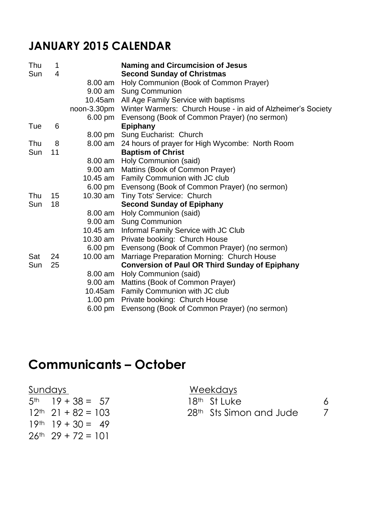### **JANUARY 2015 CALENDAR**

| Thu | 1  |                   | <b>Naming and Circumcision of Jesus</b>               |
|-----|----|-------------------|-------------------------------------------------------|
| Sun | 4  |                   | <b>Second Sunday of Christmas</b>                     |
|     |    | 8.00 am           | Holy Communion (Book of Common Prayer)                |
|     |    |                   | 9.00 am Sung Communion                                |
|     |    |                   | 10.45am All Age Family Service with baptisms          |
|     |    |                   |                                                       |
|     |    | $6.00 \text{ pm}$ | Evensong (Book of Common Prayer) (no sermon)          |
| Tue | 6  |                   | <b>Epiphany</b>                                       |
|     |    |                   | 8.00 pm Sung Eucharist: Church                        |
| Thu | 8  | 8.00 am           | 24 hours of prayer for High Wycombe: North Room       |
| Sun | 11 |                   | <b>Baptism of Christ</b>                              |
|     |    |                   | 8.00 am Holy Communion (said)                         |
|     |    |                   | 9.00 am Mattins (Book of Common Prayer)               |
|     |    |                   | 10.45 am Family Communion with JC club                |
|     |    |                   | 6.00 pm Evensong (Book of Common Prayer) (no sermon)  |
| Thu | 15 |                   | 10.30 am Tiny Tots' Service: Church                   |
| Sun | 18 |                   | <b>Second Sunday of Epiphany</b>                      |
|     |    |                   | 8.00 am Holy Communion (said)                         |
|     |    |                   | 9.00 am Sung Communion                                |
|     |    |                   | 10.45 am Informal Family Service with JC Club         |
|     |    | 10.30 am          | Private booking: Church House                         |
|     |    | $6.00 \text{ pm}$ | Evensong (Book of Common Prayer) (no sermon)          |
| Sat | 24 | 10.00 am          | Marriage Preparation Morning: Church House            |
| Sun | 25 |                   | <b>Conversion of Paul OR Third Sunday of Epiphany</b> |
|     |    | 8.00 am           | Holy Communion (said)                                 |
|     |    | $9.00$ am         | Mattins (Book of Common Prayer)                       |
|     |    | 10.45am           | Family Communion with JC club                         |
|     |    | $1.00 \text{ pm}$ | Private booking: Church House                         |
|     |    | $6.00 \text{ pm}$ | Evensong (Book of Common Prayer) (no sermon)          |

# **Communicants – October**

| Sundays                 | Weekdays |                                     |  |
|-------------------------|----------|-------------------------------------|--|
| $5th$ 19 + 38 = 57      |          | 18 <sup>th</sup> St Luke            |  |
| $12th$ 21 + 82 = 103    |          | 28 <sup>th</sup> Sts Simon and Jude |  |
| $19th$ $19 + 30 = 49$   |          |                                     |  |
| $26^{th}$ 29 + 72 = 101 |          |                                     |  |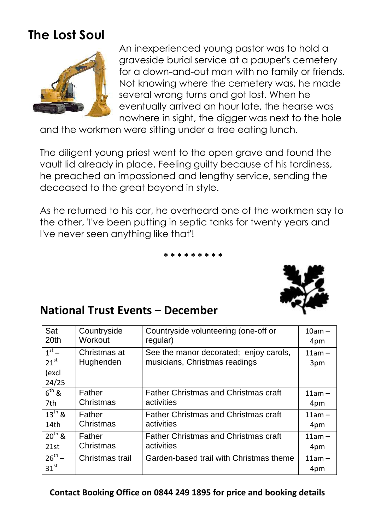# **The Lost Soul**



An inexperienced young pastor was to hold a graveside burial service at a pauper's cemetery for a down-and-out man with no family or friends. Not knowing where the cemetery was, he made several wrong turns and got lost. When he eventually arrived an hour late, the hearse was nowhere in sight, the digger was next to the hole

and the workmen were sitting under a tree eating lunch.

The diligent young priest went to the open grave and found the vault lid already in place. Feeling guilty because of his tardiness, he preached an impassioned and lengthy service, sending the deceased to the great beyond in style.

As he returned to his car, he overheard one of the workmen say to the other, 'I've been putting in septic tanks for twenty years and I've never seen anything like that'!

**\* \* \* \* \* \* \* \* \***



### **National Trust Events – December**

| Sat                                    | Countryside               | Countryside volunteering (one-off or                                    | $10am -$        |
|----------------------------------------|---------------------------|-------------------------------------------------------------------------|-----------------|
| 20 <sub>th</sub>                       | Workout                   | regular)                                                                | 4pm             |
| $1st$ –<br>$21^{st}$<br>(excl<br>24/25 | Christmas at<br>Hughenden | See the manor decorated; enjoy carols,<br>musicians, Christmas readings | $11am -$<br>3pm |
| $6^{th}$ &                             | Father                    | <b>Father Christmas and Christmas craft</b>                             | $11am -$        |
| 7th                                    | Christmas                 | activities                                                              | 4pm             |
| $13^{th}$ &                            | Father                    | <b>Father Christmas and Christmas craft</b>                             | $11am -$        |
| 14 <sub>th</sub>                       | Christmas                 | activities                                                              | 4pm             |
| $20^{th}$ &                            | Father                    | <b>Father Christmas and Christmas craft</b>                             | $11am -$        |
| 21st                                   | Christmas                 | activities                                                              | 4pm             |
| $26^{th} -$<br>31 <sup>st</sup>        | Christmas trail           | Garden-based trail with Christmas theme                                 | $11am -$<br>4pm |

#### **Contact Booking Office on 0844 249 1895 for price and booking details**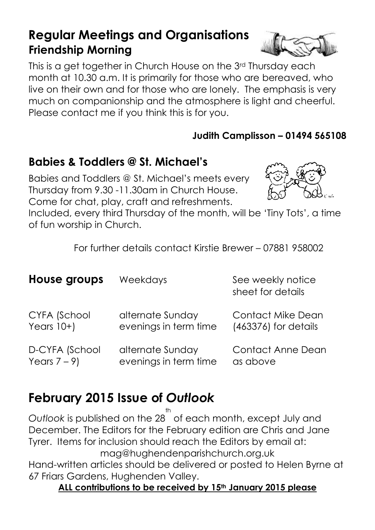### **Regular Meetings and Organisations Friendship Morning**

This is a get together in Church House on the 3rd Thursday each month at 10.30 a.m. It is primarily for those who are bereaved, who live on their own and for those who are lonely. The emphasis is very much on companionship and the atmosphere is light and cheerful. Please contact me if you think this is for you.

#### **Judith Camplisson – 01494 565108**

### **Babies & Toddlers @ St. Michael's**

Babies and Toddlers @ St. Michael's meets every Thursday from 9.30 -11.30am in Church House. Come for chat, play, craft and refreshments.

Included, every third Thursday of the month, will be 'Tiny Tots', a time of fun worship in Church.

For further details contact Kirstie Brewer – 07881 958002

| House groups   | <b>Weekdays</b>       | See weekly notice<br>sheet for details |
|----------------|-----------------------|----------------------------------------|
| CYFA (School   | alternate Sunday      | <b>Contact Mike Dean</b>               |
| Years $10+$    | evenings in term time | (463376) for details                   |
| D-CYFA (School | alternate Sunday      | <b>Contact Anne Dean</b>               |
| Years $7-9$    | evenings in term time | as above                               |

# **February 2015 Issue of** *Outlook*

*Outlook* is published on the 28 th of each month, except July and December. The Editors for the February edition are Chris and Jane Tyrer. Items for inclusion should reach the Editors by email at: mag@hughendenparishchurch.org.uk

Hand-written articles should be delivered or posted to Helen Byrne at 67 Friars Gardens, Hughenden Valley.

**ALL contributions to be received by 15th January 2015 please**

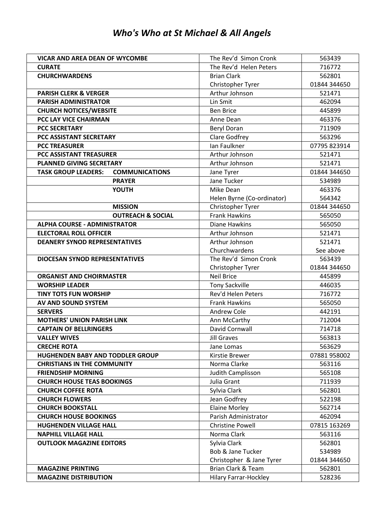#### *Who's Who at St Michael & All Angels*

| <b>VICAR AND AREA DEAN OF WYCOMBE</b>               | The Rev'd Simon Cronk        | 563439       |
|-----------------------------------------------------|------------------------------|--------------|
| <b>CURATE</b>                                       | The Rev'd Helen Peters       | 716772       |
| <b>CHURCHWARDENS</b>                                | <b>Brian Clark</b>           | 562801       |
|                                                     | Christopher Tyrer            | 01844 344650 |
| <b>PARISH CLERK &amp; VERGER</b>                    | Arthur Johnson               | 521471       |
| <b>PARISH ADMINISTRATOR</b>                         | Lin Smit                     | 462094       |
| <b>CHURCH NOTICES/WEBSITE</b>                       | <b>Ben Brice</b>             | 445899       |
| PCC LAY VICE CHAIRMAN                               | Anne Dean                    | 463376       |
| <b>PCC SECRETARY</b>                                | <b>Beryl Doran</b>           | 711909       |
| PCC ASSISTANT SECRETARY                             | <b>Clare Godfrey</b>         | 563296       |
| <b>PCC TREASURER</b>                                | Ian Faulkner                 | 07795 823914 |
| <b>PCC ASSISTANT TREASURER</b>                      | Arthur Johnson               | 521471       |
| <b>PLANNED GIVING SECRETARY</b>                     | Arthur Johnson               | 521471       |
| <b>TASK GROUP LEADERS:</b><br><b>COMMUNICATIONS</b> | Jane Tyrer                   | 01844 344650 |
| <b>PRAYER</b>                                       | Jane Tucker                  | 534989       |
| <b>YOUTH</b>                                        | Mike Dean                    | 463376       |
|                                                     | Helen Byrne (Co-ordinator)   | 564342       |
| <b>MISSION</b>                                      | Christopher Tyrer            | 01844 344650 |
| <b>OUTREACH &amp; SOCIAL</b>                        | <b>Frank Hawkins</b>         | 565050       |
| <b>ALPHA COURSE - ADMINISTRATOR</b>                 | <b>Diane Hawkins</b>         | 565050       |
| <b>ELECTORAL ROLL OFFICER</b>                       | Arthur Johnson               | 521471       |
| <b>DEANERY SYNOD REPRESENTATIVES</b>                | Arthur Johnson               | 521471       |
|                                                     | Churchwardens                | See above    |
| <b>DIOCESAN SYNOD REPRESENTATIVES</b>               | The Rev'd Simon Cronk        | 563439       |
|                                                     | Christopher Tyrer            | 01844 344650 |
| <b>ORGANIST AND CHOIRMASTER</b>                     | <b>Neil Brice</b>            | 445899       |
| <b>WORSHIP LEADER</b>                               | <b>Tony Sackville</b>        | 446035       |
| <b>TINY TOTS FUN WORSHIP</b>                        | Rev'd Helen Peters           | 716772       |
| AV AND SOUND SYSTEM                                 | <b>Frank Hawkins</b>         | 565050       |
| <b>SERVERS</b>                                      | Andrew Cole                  | 442191       |
| <b>MOTHERS' UNION PARISH LINK</b>                   | Ann McCarthy                 | 712004       |
| <b>CAPTAIN OF BELLRINGERS</b>                       | David Cornwall               | 714718       |
| <b>VALLEY WIVES</b>                                 | Jill Graves                  | 563813       |
| <b>CRECHE ROTA</b>                                  | Jane Lomas                   | 563629       |
| <b>HUGHENDEN BABY AND TODDLER GROUP</b>             | Kirstie Brewer               | 07881 958002 |
| <b>CHRISTIANS IN THE COMMUNITY</b>                  | Norma Clarke                 | 563116       |
| <b>FRIENDSHIP MORNING</b>                           | Judith Camplisson            | 565108       |
| <b>CHURCH HOUSE TEAS BOOKINGS</b>                   | Julia Grant                  | 711939       |
| <b>CHURCH COFFEE ROTA</b>                           | Sylvia Clark                 | 562801       |
| <b>CHURCH FLOWERS</b>                               | Jean Godfrey                 | 522198       |
| <b>CHURCH BOOKSTALL</b>                             | <b>Elaine Morley</b>         | 562714       |
| <b>CHURCH HOUSE BOOKINGS</b>                        | Parish Administrator         | 462094       |
| <b>HUGHENDEN VILLAGE HALL</b>                       | <b>Christine Powell</b>      | 07815 163269 |
| <b>NAPHILL VILLAGE HALL</b>                         | Norma Clark                  | 563116       |
| <b>OUTLOOK MAGAZINE EDITORS</b>                     | Sylvia Clark                 | 562801       |
|                                                     | <b>Bob &amp; Jane Tucker</b> | 534989       |
|                                                     | Christopher & Jane Tyrer     | 01844 344650 |
| <b>MAGAZINE PRINTING</b>                            | Brian Clark & Team           | 562801       |
| <b>MAGAZINE DISTRIBUTION</b>                        | Hilary Farrar-Hockley        | 528236       |